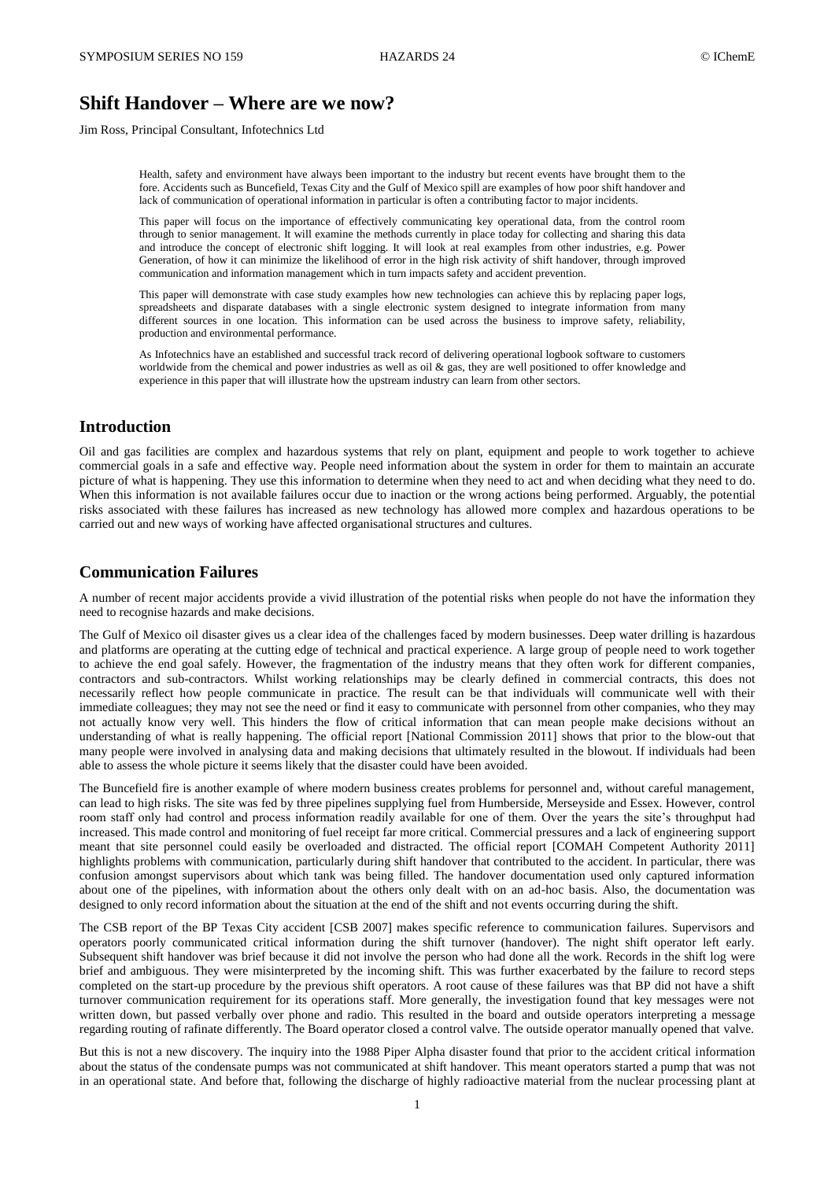# **Shift Handover – Where are we now?**

Jim Ross, Principal Consultant, Infotechnics Ltd

Health, safety and environment have always been important to the industry but recent events have brought them to the fore. Accidents such as Buncefield, Texas City and the Gulf of Mexico spill are examples of how poor shift handover and lack of communication of operational information in particular is often a contributing factor to major incidents.

This paper will focus on the importance of effectively communicating key operational data, from the control room through to senior management. It will examine the methods currently in place today for collecting and sharing this data and introduce the concept of electronic shift logging. It will look at real examples from other industries, e.g. Power Generation, of how it can minimize the likelihood of error in the high risk activity of shift handover, through improved communication and information management which in turn impacts safety and accident prevention.

This paper will demonstrate with case study examples how new technologies can achieve this by replacing paper logs, spreadsheets and disparate databases with a single electronic system designed to integrate information from many different sources in one location. This information can be used across the business to improve safety, reliability, production and environmental performance.

As Infotechnics have an established and successful track record of delivering operational logbook software to customers worldwide from the chemical and power industries as well as oil  $\&$  gas, they are well positioned to offer knowledge and experience in this paper that will illustrate how the upstream industry can learn from other sectors.

# **Introduction**

Oil and gas facilities are complex and hazardous systems that rely on plant, equipment and people to work together to achieve commercial goals in a safe and effective way. People need information about the system in order for them to maintain an accurate picture of what is happening. They use this information to determine when they need to act and when deciding what they need to do. When this information is not available failures occur due to inaction or the wrong actions being performed. Arguably, the potential risks associated with these failures has increased as new technology has allowed more complex and hazardous operations to be carried out and new ways of working have affected organisational structures and cultures.

#### **Communication Failures**

A number of recent major accidents provide a vivid illustration of the potential risks when people do not have the information they need to recognise hazards and make decisions.

The Gulf of Mexico oil disaster gives us a clear idea of the challenges faced by modern businesses. Deep water drilling is hazardous and platforms are operating at the cutting edge of technical and practical experience. A large group of people need to work together to achieve the end goal safely. However, the fragmentation of the industry means that they often work for different companies, contractors and sub-contractors. Whilst working relationships may be clearly defined in commercial contracts, this does not necessarily reflect how people communicate in practice. The result can be that individuals will communicate well with their immediate colleagues; they may not see the need or find it easy to communicate with personnel from other companies, who they may not actually know very well. This hinders the flow of critical information that can mean people make decisions without an understanding of what is really happening. The official report [National Commission 2011] shows that prior to the blow-out that many people were involved in analysing data and making decisions that ultimately resulted in the blowout. If individuals had been able to assess the whole picture it seems likely that the disaster could have been avoided.

The Buncefield fire is another example of where modern business creates problems for personnel and, without careful management, can lead to high risks. The site was fed by three pipelines supplying fuel from Humberside, Merseyside and Essex. However, control room staff only had control and process information readily available for one of them. Over the years the site's throughput had increased. This made control and monitoring of fuel receipt far more critical. Commercial pressures and a lack of engineering support meant that site personnel could easily be overloaded and distracted. The official report [COMAH Competent Authority 2011] highlights problems with communication, particularly during shift handover that contributed to the accident. In particular, there was confusion amongst supervisors about which tank was being filled. The handover documentation used only captured information about one of the pipelines, with information about the others only dealt with on an ad-hoc basis. Also, the documentation was designed to only record information about the situation at the end of the shift and not events occurring during the shift.

The CSB report of the BP Texas City accident [CSB 2007] makes specific reference to communication failures. Supervisors and operators poorly communicated critical information during the shift turnover (handover). The night shift operator left early. Subsequent shift handover was brief because it did not involve the person who had done all the work. Records in the shift log were brief and ambiguous. They were misinterpreted by the incoming shift. This was further exacerbated by the failure to record steps completed on the start-up procedure by the previous shift operators. A root cause of these failures was that BP did not have a shift turnover communication requirement for its operations staff. More generally, the investigation found that key messages were not written down, but passed verbally over phone and radio. This resulted in the board and outside operators interpreting a message regarding routing of rafinate differently. The Board operator closed a control valve. The outside operator manually opened that valve.

But this is not a new discovery. The inquiry into the 1988 Piper Alpha disaster found that prior to the accident critical information about the status of the condensate pumps was not communicated at shift handover. This meant operators started a pump that was not in an operational state. And before that, following the discharge of highly radioactive material from the nuclear processing plant at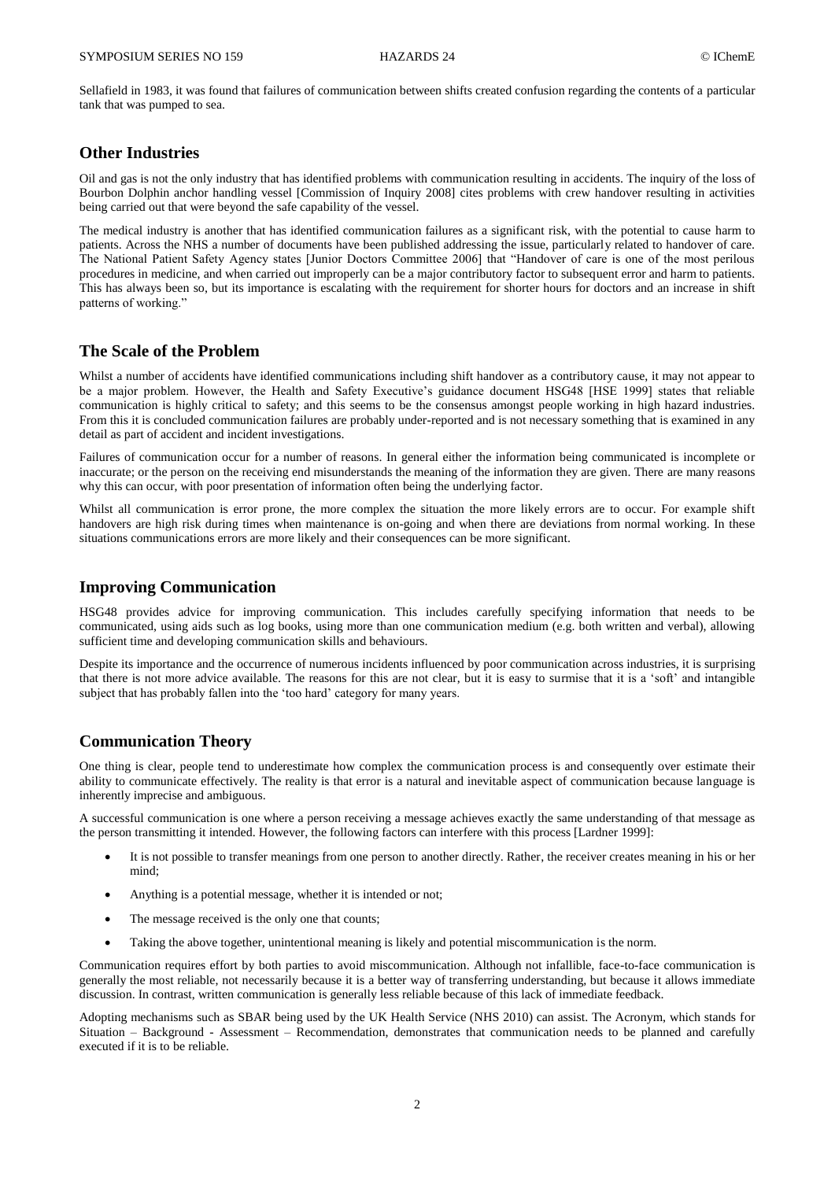Sellafield in 1983, it was found that failures of communication between shifts created confusion regarding the contents of a particular tank that was pumped to sea.

## **Other Industries**

Oil and gas is not the only industry that has identified problems with communication resulting in accidents. The inquiry of the loss of Bourbon Dolphin anchor handling vessel [Commission of Inquiry 2008] cites problems with crew handover resulting in activities being carried out that were beyond the safe capability of the vessel.

The medical industry is another that has identified communication failures as a significant risk, with the potential to cause harm to patients. Across the NHS a number of documents have been published addressing the issue, particularly related to handover of care. The National Patient Safety Agency states [Junior Doctors Committee 2006] that "Handover of care is one of the most perilous procedures in medicine, and when carried out improperly can be a major contributory factor to subsequent error and harm to patients. This has always been so, but its importance is escalating with the requirement for shorter hours for doctors and an increase in shift patterns of working."

## **The Scale of the Problem**

Whilst a number of accidents have identified communications including shift handover as a contributory cause, it may not appear to be a major problem. However, the Health and Safety Executive's guidance document HSG48 [HSE 1999] states that reliable communication is highly critical to safety; and this seems to be the consensus amongst people working in high hazard industries. From this it is concluded communication failures are probably under-reported and is not necessary something that is examined in any detail as part of accident and incident investigations.

Failures of communication occur for a number of reasons. In general either the information being communicated is incomplete or inaccurate; or the person on the receiving end misunderstands the meaning of the information they are given. There are many reasons why this can occur, with poor presentation of information often being the underlying factor.

Whilst all communication is error prone, the more complex the situation the more likely errors are to occur. For example shift handovers are high risk during times when maintenance is on-going and when there are deviations from normal working. In these situations communications errors are more likely and their consequences can be more significant.

### **Improving Communication**

HSG48 provides advice for improving communication. This includes carefully specifying information that needs to be communicated, using aids such as log books, using more than one communication medium (e.g. both written and verbal), allowing sufficient time and developing communication skills and behaviours.

Despite its importance and the occurrence of numerous incidents influenced by poor communication across industries, it is surprising that there is not more advice available. The reasons for this are not clear, but it is easy to surmise that it is a 'soft' and intangible subject that has probably fallen into the 'too hard' category for many years.

#### **Communication Theory**

One thing is clear, people tend to underestimate how complex the communication process is and consequently over estimate their ability to communicate effectively. The reality is that error is a natural and inevitable aspect of communication because language is inherently imprecise and ambiguous.

A successful communication is one where a person receiving a message achieves exactly the same understanding of that message as the person transmitting it intended. However, the following factors can interfere with this process [Lardner 1999]:

- It is not possible to transfer meanings from one person to another directly. Rather, the receiver creates meaning in his or her mind;
- Anything is a potential message, whether it is intended or not;
- The message received is the only one that counts;
- Taking the above together, unintentional meaning is likely and potential miscommunication is the norm.

Communication requires effort by both parties to avoid miscommunication. Although not infallible, face-to-face communication is generally the most reliable, not necessarily because it is a better way of transferring understanding, but because it allows immediate discussion. In contrast, written communication is generally less reliable because of this lack of immediate feedback.

Adopting mechanisms such as SBAR being used by the UK Health Service (NHS 2010) can assist. The Acronym, which stands for Situation – Background - Assessment – Recommendation, demonstrates that communication needs to be planned and carefully executed if it is to be reliable.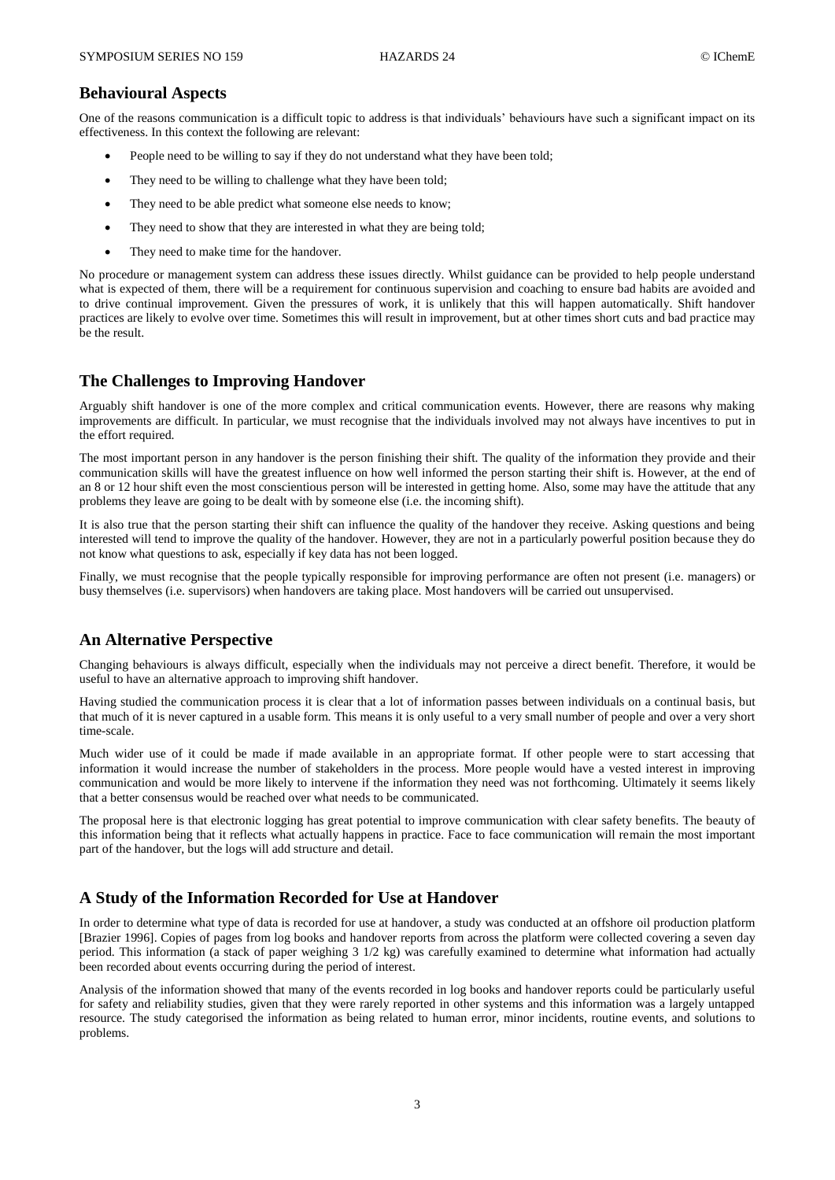#### **Behavioural Aspects**

One of the reasons communication is a difficult topic to address is that individuals' behaviours have such a significant impact on its effectiveness. In this context the following are relevant:

- People need to be willing to say if they do not understand what they have been told;
- They need to be willing to challenge what they have been told:
- They need to be able predict what someone else needs to know;
- They need to show that they are interested in what they are being told;
- They need to make time for the handover.

No procedure or management system can address these issues directly. Whilst guidance can be provided to help people understand what is expected of them, there will be a requirement for continuous supervision and coaching to ensure bad habits are avoided and to drive continual improvement. Given the pressures of work, it is unlikely that this will happen automatically. Shift handover practices are likely to evolve over time. Sometimes this will result in improvement, but at other times short cuts and bad practice may be the result.

### **The Challenges to Improving Handover**

Arguably shift handover is one of the more complex and critical communication events. However, there are reasons why making improvements are difficult. In particular, we must recognise that the individuals involved may not always have incentives to put in the effort required.

The most important person in any handover is the person finishing their shift. The quality of the information they provide and their communication skills will have the greatest influence on how well informed the person starting their shift is. However, at the end of an 8 or 12 hour shift even the most conscientious person will be interested in getting home. Also, some may have the attitude that any problems they leave are going to be dealt with by someone else (i.e. the incoming shift).

It is also true that the person starting their shift can influence the quality of the handover they receive. Asking questions and being interested will tend to improve the quality of the handover. However, they are not in a particularly powerful position because they do not know what questions to ask, especially if key data has not been logged.

Finally, we must recognise that the people typically responsible for improving performance are often not present (i.e. managers) or busy themselves (i.e. supervisors) when handovers are taking place. Most handovers will be carried out unsupervised.

### **An Alternative Perspective**

Changing behaviours is always difficult, especially when the individuals may not perceive a direct benefit. Therefore, it would be useful to have an alternative approach to improving shift handover.

Having studied the communication process it is clear that a lot of information passes between individuals on a continual basis, but that much of it is never captured in a usable form. This means it is only useful to a very small number of people and over a very short time-scale.

Much wider use of it could be made if made available in an appropriate format. If other people were to start accessing that information it would increase the number of stakeholders in the process. More people would have a vested interest in improving communication and would be more likely to intervene if the information they need was not forthcoming. Ultimately it seems likely that a better consensus would be reached over what needs to be communicated.

The proposal here is that electronic logging has great potential to improve communication with clear safety benefits. The beauty of this information being that it reflects what actually happens in practice. Face to face communication will remain the most important part of the handover, but the logs will add structure and detail.

## **A Study of the Information Recorded for Use at Handover**

In order to determine what type of data is recorded for use at handover, a study was conducted at an offshore oil production platform [Brazier 1996]. Copies of pages from log books and handover reports from across the platform were collected covering a seven day period. This information (a stack of paper weighing 3 1/2 kg) was carefully examined to determine what information had actually been recorded about events occurring during the period of interest.

Analysis of the information showed that many of the events recorded in log books and handover reports could be particularly useful for safety and reliability studies, given that they were rarely reported in other systems and this information was a largely untapped resource. The study categorised the information as being related to human error, minor incidents, routine events, and solutions to problems.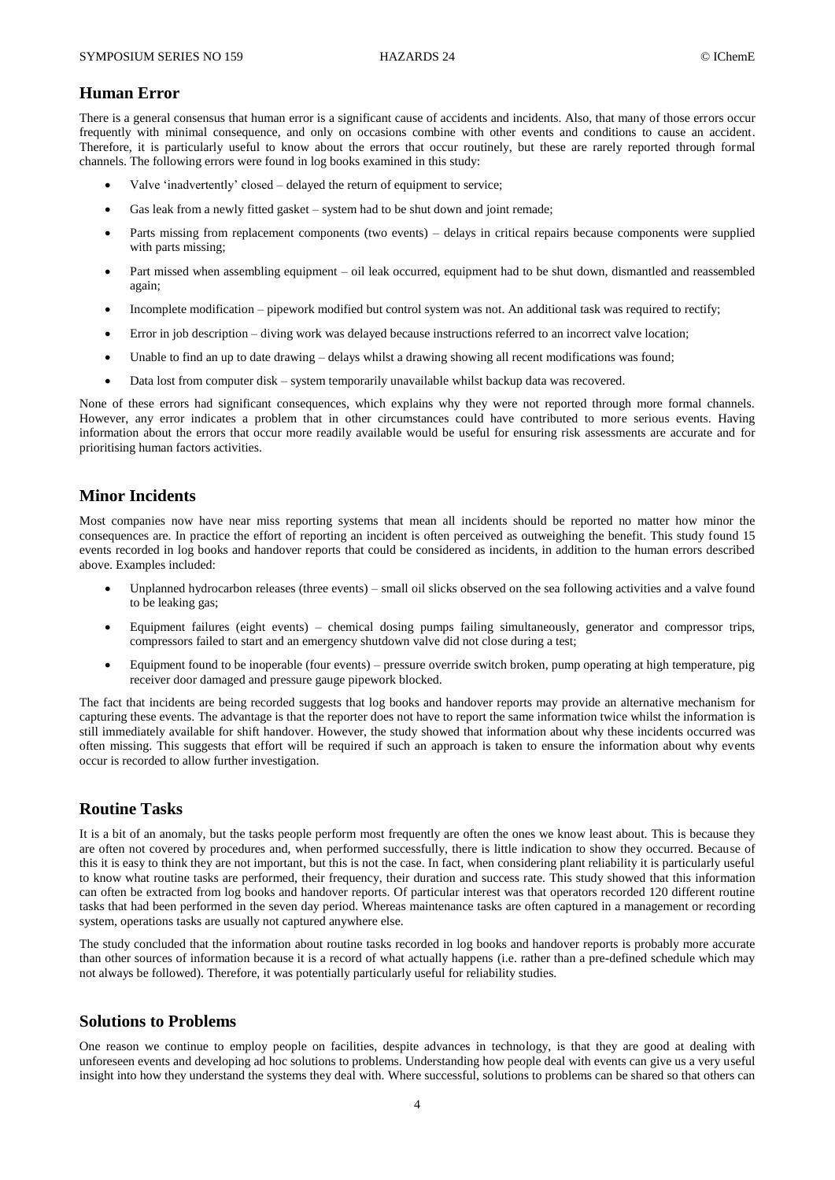#### **Human Error**

There is a general consensus that human error is a significant cause of accidents and incidents. Also, that many of those errors occur frequently with minimal consequence, and only on occasions combine with other events and conditions to cause an accident. Therefore, it is particularly useful to know about the errors that occur routinely, but these are rarely reported through formal channels. The following errors were found in log books examined in this study:

- Valve 'inadvertently' closed delayed the return of equipment to service;
- Gas leak from a newly fitted gasket system had to be shut down and joint remade;
- Parts missing from replacement components (two events) delays in critical repairs because components were supplied with parts missing;
- Part missed when assembling equipment oil leak occurred, equipment had to be shut down, dismantled and reassembled again;
- Incomplete modification pipework modified but control system was not. An additional task was required to rectify;
- Error in job description diving work was delayed because instructions referred to an incorrect valve location;
- Unable to find an up to date drawing delays whilst a drawing showing all recent modifications was found;
- Data lost from computer disk system temporarily unavailable whilst backup data was recovered.

None of these errors had significant consequences, which explains why they were not reported through more formal channels. However, any error indicates a problem that in other circumstances could have contributed to more serious events. Having information about the errors that occur more readily available would be useful for ensuring risk assessments are accurate and for prioritising human factors activities.

#### **Minor Incidents**

Most companies now have near miss reporting systems that mean all incidents should be reported no matter how minor the consequences are. In practice the effort of reporting an incident is often perceived as outweighing the benefit. This study found 15 events recorded in log books and handover reports that could be considered as incidents, in addition to the human errors described above. Examples included:

- Unplanned hydrocarbon releases (three events) small oil slicks observed on the sea following activities and a valve found to be leaking gas;
- Equipment failures (eight events) chemical dosing pumps failing simultaneously, generator and compressor trips, compressors failed to start and an emergency shutdown valve did not close during a test;
- Equipment found to be inoperable (four events) pressure override switch broken, pump operating at high temperature, pig receiver door damaged and pressure gauge pipework blocked.

The fact that incidents are being recorded suggests that log books and handover reports may provide an alternative mechanism for capturing these events. The advantage is that the reporter does not have to report the same information twice whilst the information is still immediately available for shift handover. However, the study showed that information about why these incidents occurred was often missing. This suggests that effort will be required if such an approach is taken to ensure the information about why events occur is recorded to allow further investigation.

# **Routine Tasks**

It is a bit of an anomaly, but the tasks people perform most frequently are often the ones we know least about. This is because they are often not covered by procedures and, when performed successfully, there is little indication to show they occurred. Because of this it is easy to think they are not important, but this is not the case. In fact, when considering plant reliability it is particularly useful to know what routine tasks are performed, their frequency, their duration and success rate. This study showed that this information can often be extracted from log books and handover reports. Of particular interest was that operators recorded 120 different routine tasks that had been performed in the seven day period. Whereas maintenance tasks are often captured in a management or recording system, operations tasks are usually not captured anywhere else.

The study concluded that the information about routine tasks recorded in log books and handover reports is probably more accurate than other sources of information because it is a record of what actually happens (i.e. rather than a pre-defined schedule which may not always be followed). Therefore, it was potentially particularly useful for reliability studies.

## **Solutions to Problems**

One reason we continue to employ people on facilities, despite advances in technology, is that they are good at dealing with unforeseen events and developing ad hoc solutions to problems. Understanding how people deal with events can give us a very useful insight into how they understand the systems they deal with. Where successful, solutions to problems can be shared so that others can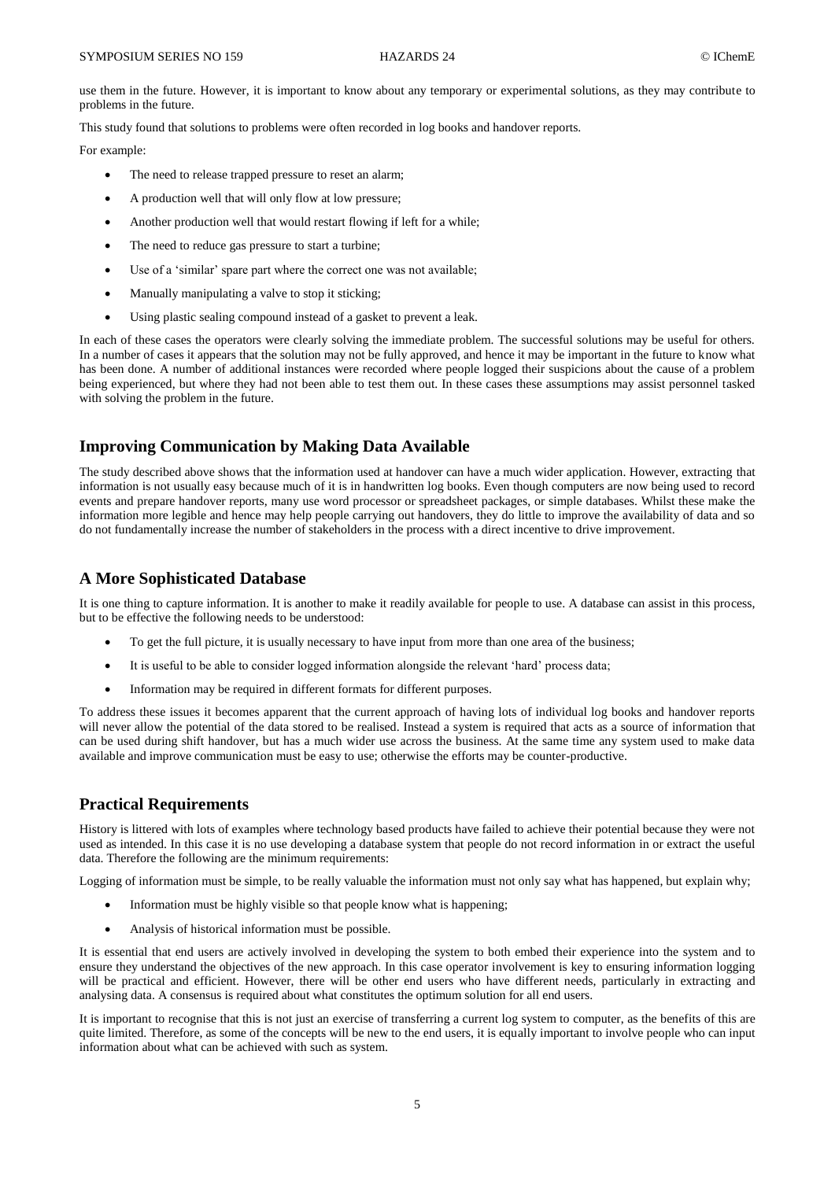use them in the future. However, it is important to know about any temporary or experimental solutions, as they may contribute to problems in the future.

This study found that solutions to problems were often recorded in log books and handover reports.

For example:

- The need to release trapped pressure to reset an alarm;
- A production well that will only flow at low pressure;
- Another production well that would restart flowing if left for a while;
- The need to reduce gas pressure to start a turbine;
- Use of a 'similar' spare part where the correct one was not available;
- Manually manipulating a valve to stop it sticking;
- Using plastic sealing compound instead of a gasket to prevent a leak.

In each of these cases the operators were clearly solving the immediate problem. The successful solutions may be useful for others. In a number of cases it appears that the solution may not be fully approved, and hence it may be important in the future to know what has been done. A number of additional instances were recorded where people logged their suspicions about the cause of a problem being experienced, but where they had not been able to test them out. In these cases these assumptions may assist personnel tasked with solving the problem in the future.

## **Improving Communication by Making Data Available**

The study described above shows that the information used at handover can have a much wider application. However, extracting that information is not usually easy because much of it is in handwritten log books. Even though computers are now being used to record events and prepare handover reports, many use word processor or spreadsheet packages, or simple databases. Whilst these make the information more legible and hence may help people carrying out handovers, they do little to improve the availability of data and so do not fundamentally increase the number of stakeholders in the process with a direct incentive to drive improvement.

## **A More Sophisticated Database**

It is one thing to capture information. It is another to make it readily available for people to use. A database can assist in this process, but to be effective the following needs to be understood:

- To get the full picture, it is usually necessary to have input from more than one area of the business;
- It is useful to be able to consider logged information alongside the relevant 'hard' process data;
- Information may be required in different formats for different purposes.

To address these issues it becomes apparent that the current approach of having lots of individual log books and handover reports will never allow the potential of the data stored to be realised. Instead a system is required that acts as a source of information that can be used during shift handover, but has a much wider use across the business. At the same time any system used to make data available and improve communication must be easy to use; otherwise the efforts may be counter-productive.

### **Practical Requirements**

History is littered with lots of examples where technology based products have failed to achieve their potential because they were not used as intended. In this case it is no use developing a database system that people do not record information in or extract the useful data. Therefore the following are the minimum requirements:

Logging of information must be simple, to be really valuable the information must not only say what has happened, but explain why;

- Information must be highly visible so that people know what is happening;
- Analysis of historical information must be possible.

It is essential that end users are actively involved in developing the system to both embed their experience into the system and to ensure they understand the objectives of the new approach. In this case operator involvement is key to ensuring information logging will be practical and efficient. However, there will be other end users who have different needs, particularly in extracting and analysing data. A consensus is required about what constitutes the optimum solution for all end users.

It is important to recognise that this is not just an exercise of transferring a current log system to computer, as the benefits of this are quite limited. Therefore, as some of the concepts will be new to the end users, it is equally important to involve people who can input information about what can be achieved with such as system.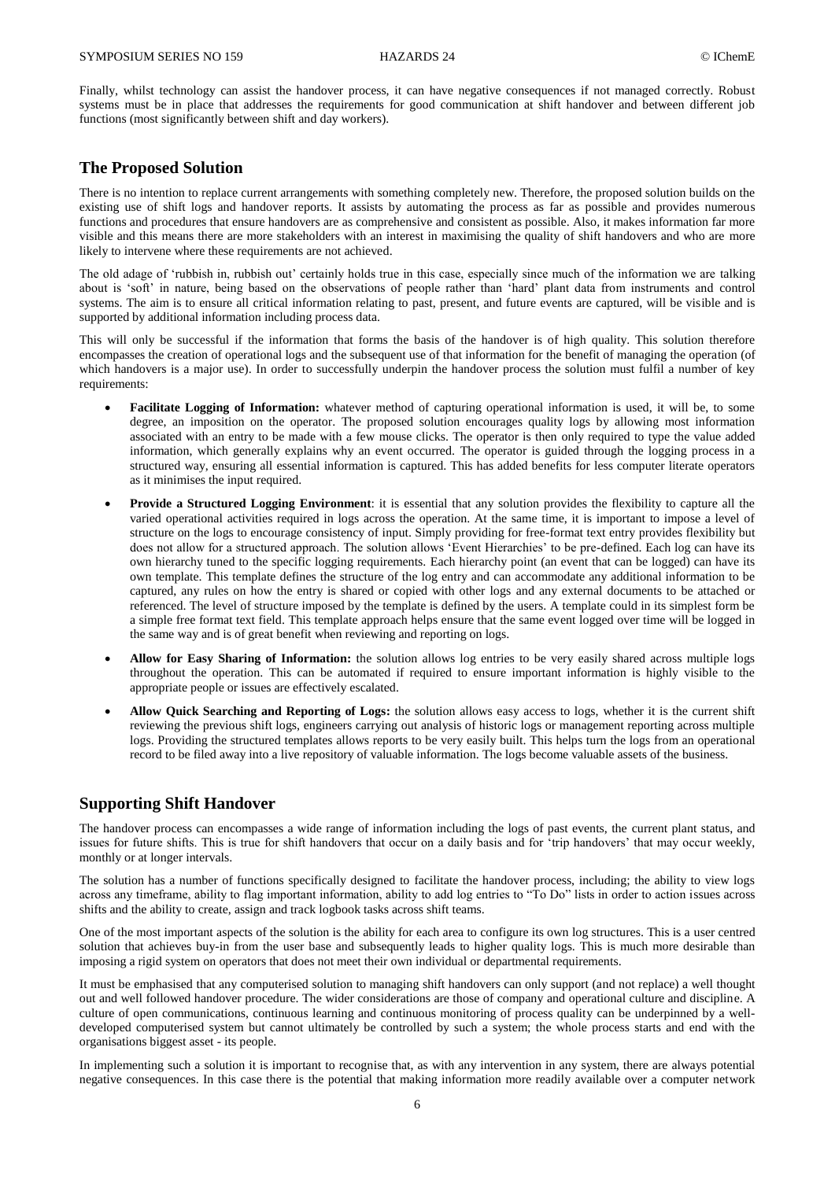Finally, whilst technology can assist the handover process, it can have negative consequences if not managed correctly. Robust systems must be in place that addresses the requirements for good communication at shift handover and between different job functions (most significantly between shift and day workers).

## **The Proposed Solution**

There is no intention to replace current arrangements with something completely new. Therefore, the proposed solution builds on the existing use of shift logs and handover reports. It assists by automating the process as far as possible and provides numerous functions and procedures that ensure handovers are as comprehensive and consistent as possible. Also, it makes information far more visible and this means there are more stakeholders with an interest in maximising the quality of shift handovers and who are more likely to intervene where these requirements are not achieved.

The old adage of 'rubbish in, rubbish out' certainly holds true in this case, especially since much of the information we are talking about is 'soft' in nature, being based on the observations of people rather than 'hard' plant data from instruments and control systems. The aim is to ensure all critical information relating to past, present, and future events are captured, will be visible and is supported by additional information including process data.

This will only be successful if the information that forms the basis of the handover is of high quality. This solution therefore encompasses the creation of operational logs and the subsequent use of that information for the benefit of managing the operation (of which handovers is a major use). In order to successfully underpin the handover process the solution must fulfil a number of key requirements:

- **Facilitate Logging of Information:** whatever method of capturing operational information is used, it will be, to some degree, an imposition on the operator. The proposed solution encourages quality logs by allowing most information associated with an entry to be made with a few mouse clicks. The operator is then only required to type the value added information, which generally explains why an event occurred. The operator is guided through the logging process in a structured way, ensuring all essential information is captured. This has added benefits for less computer literate operators as it minimises the input required.
- **Provide a Structured Logging Environment**: it is essential that any solution provides the flexibility to capture all the varied operational activities required in logs across the operation. At the same time, it is important to impose a level of structure on the logs to encourage consistency of input. Simply providing for free-format text entry provides flexibility but does not allow for a structured approach. The solution allows 'Event Hierarchies' to be pre-defined. Each log can have its own hierarchy tuned to the specific logging requirements. Each hierarchy point (an event that can be logged) can have its own template. This template defines the structure of the log entry and can accommodate any additional information to be captured, any rules on how the entry is shared or copied with other logs and any external documents to be attached or referenced. The level of structure imposed by the template is defined by the users. A template could in its simplest form be a simple free format text field. This template approach helps ensure that the same event logged over time will be logged in the same way and is of great benefit when reviewing and reporting on logs.
- **Allow for Easy Sharing of Information:** the solution allows log entries to be very easily shared across multiple logs throughout the operation. This can be automated if required to ensure important information is highly visible to the appropriate people or issues are effectively escalated.
- **Allow Quick Searching and Reporting of Logs:** the solution allows easy access to logs, whether it is the current shift reviewing the previous shift logs, engineers carrying out analysis of historic logs or management reporting across multiple logs. Providing the structured templates allows reports to be very easily built. This helps turn the logs from an operational record to be filed away into a live repository of valuable information. The logs become valuable assets of the business.

# **Supporting Shift Handover**

The handover process can encompasses a wide range of information including the logs of past events, the current plant status, and issues for future shifts. This is true for shift handovers that occur on a daily basis and for 'trip handovers' that may occur weekly, monthly or at longer intervals.

The solution has a number of functions specifically designed to facilitate the handover process, including; the ability to view logs across any timeframe, ability to flag important information, ability to add log entries to "To Do" lists in order to action issues across shifts and the ability to create, assign and track logbook tasks across shift teams.

One of the most important aspects of the solution is the ability for each area to configure its own log structures. This is a user centred solution that achieves buy-in from the user base and subsequently leads to higher quality logs. This is much more desirable than imposing a rigid system on operators that does not meet their own individual or departmental requirements.

It must be emphasised that any computerised solution to managing shift handovers can only support (and not replace) a well thought out and well followed handover procedure. The wider considerations are those of company and operational culture and discipline. A culture of open communications, continuous learning and continuous monitoring of process quality can be underpinned by a welldeveloped computerised system but cannot ultimately be controlled by such a system; the whole process starts and end with the organisations biggest asset - its people.

In implementing such a solution it is important to recognise that, as with any intervention in any system, there are always potential negative consequences. In this case there is the potential that making information more readily available over a computer network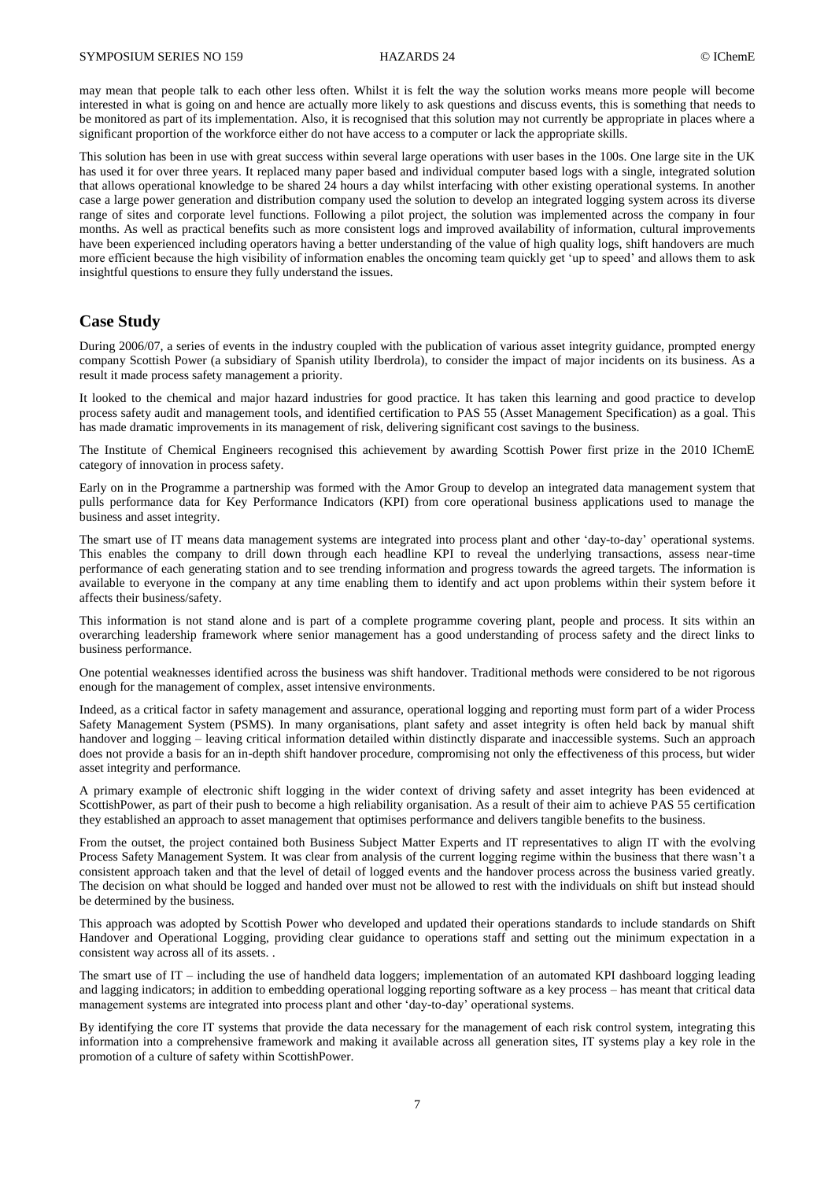may mean that people talk to each other less often. Whilst it is felt the way the solution works means more people will become interested in what is going on and hence are actually more likely to ask questions and discuss events, this is something that needs to be monitored as part of its implementation. Also, it is recognised that this solution may not currently be appropriate in places where a significant proportion of the workforce either do not have access to a computer or lack the appropriate skills.

This solution has been in use with great success within several large operations with user bases in the 100s. One large site in the UK has used it for over three years. It replaced many paper based and individual computer based logs with a single, integrated solution that allows operational knowledge to be shared 24 hours a day whilst interfacing with other existing operational systems. In another case a large power generation and distribution company used the solution to develop an integrated logging system across its diverse range of sites and corporate level functions. Following a pilot project, the solution was implemented across the company in four months. As well as practical benefits such as more consistent logs and improved availability of information, cultural improvements have been experienced including operators having a better understanding of the value of high quality logs, shift handovers are much more efficient because the high visibility of information enables the oncoming team quickly get 'up to speed' and allows them to ask insightful questions to ensure they fully understand the issues.

## **Case Study**

During 2006/07, a series of events in the industry coupled with the publication of various asset integrity guidance, prompted energy company Scottish Power (a subsidiary of Spanish utility Iberdrola), to consider the impact of major incidents on its business. As a result it made process safety management a priority.

It looked to the chemical and major hazard industries for good practice. It has taken this learning and good practice to develop process safety audit and management tools, and identified certification to PAS 55 (Asset Management Specification) as a goal. This has made dramatic improvements in its management of risk, delivering significant cost savings to the business.

The Institute of Chemical Engineers recognised this achievement by awarding Scottish Power first prize in the 2010 IChemE category of innovation in process safety.

Early on in the Programme a partnership was formed with the Amor Group to develop an integrated data management system that pulls performance data for Key Performance Indicators (KPI) from core operational business applications used to manage the business and asset integrity.

The smart use of IT means data management systems are integrated into process plant and other 'day-to-day' operational systems. This enables the company to drill down through each headline KPI to reveal the underlying transactions, assess near-time performance of each generating station and to see trending information and progress towards the agreed targets. The information is available to everyone in the company at any time enabling them to identify and act upon problems within their system before it affects their business/safety.

This information is not stand alone and is part of a complete programme covering plant, people and process. It sits within an overarching leadership framework where senior management has a good understanding of process safety and the direct links to business performance.

One potential weaknesses identified across the business was shift handover. Traditional methods were considered to be not rigorous enough for the management of complex, asset intensive environments.

Indeed, as a critical factor in safety management and assurance, operational logging and reporting must form part of a wider Process Safety Management System (PSMS). In many organisations, plant safety and asset integrity is often held back by manual shift handover and logging – leaving critical information detailed within distinctly disparate and inaccessible systems. Such an approach does not provide a basis for an in-depth shift handover procedure, compromising not only the effectiveness of this process, but wider asset integrity and performance.

A primary example of electronic shift logging in the wider context of driving safety and asset integrity has been evidenced at ScottishPower, as part of their push to become a high reliability organisation. As a result of their aim to achieve PAS 55 certification they established an approach to asset management that optimises performance and delivers tangible benefits to the business.

From the outset, the project contained both Business Subject Matter Experts and IT representatives to align IT with the evolving Process Safety Management System. It was clear from analysis of the current logging regime within the business that there wasn't a consistent approach taken and that the level of detail of logged events and the handover process across the business varied greatly. The decision on what should be logged and handed over must not be allowed to rest with the individuals on shift but instead should be determined by the business.

This approach was adopted by Scottish Power who developed and updated their operations standards to include standards on Shift Handover and Operational Logging, providing clear guidance to operations staff and setting out the minimum expectation in a consistent way across all of its assets. .

The smart use of IT – including the use of handheld data loggers; implementation of an automated KPI dashboard logging leading and lagging indicators; in addition to embedding operational logging reporting software as a key process – has meant that critical data management systems are integrated into process plant and other 'day-to-day' operational systems.

By identifying the core IT systems that provide the data necessary for the management of each risk control system, integrating this information into a comprehensive framework and making it available across all generation sites, IT systems play a key role in the promotion of a culture of safety within ScottishPower.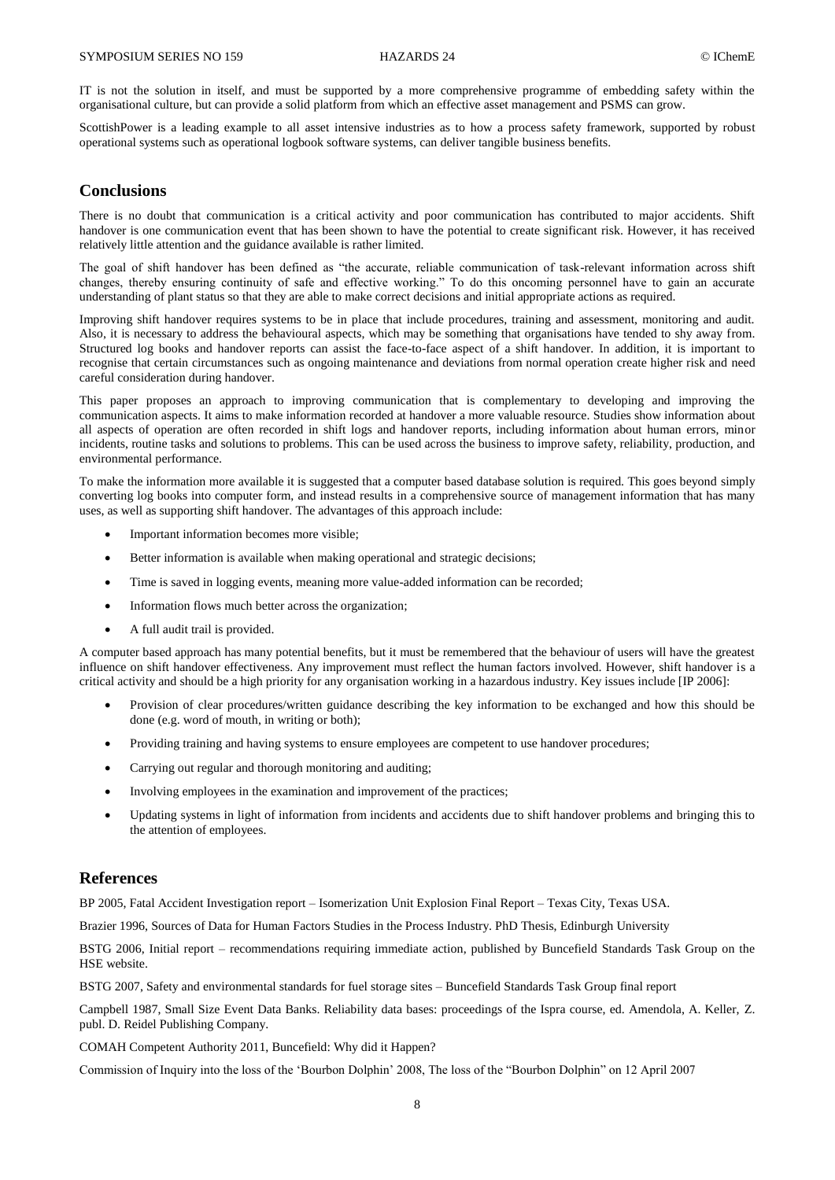IT is not the solution in itself, and must be supported by a more comprehensive programme of embedding safety within the organisational culture, but can provide a solid platform from which an effective asset management and PSMS can grow.

ScottishPower is a leading example to all asset intensive industries as to how a process safety framework, supported by robust operational systems such as operational logbook software systems, can deliver tangible business benefits.

### **Conclusions**

There is no doubt that communication is a critical activity and poor communication has contributed to major accidents. Shift handover is one communication event that has been shown to have the potential to create significant risk. However, it has received relatively little attention and the guidance available is rather limited.

The goal of shift handover has been defined as "the accurate, reliable communication of task-relevant information across shift changes, thereby ensuring continuity of safe and effective working." To do this oncoming personnel have to gain an accurate understanding of plant status so that they are able to make correct decisions and initial appropriate actions as required.

Improving shift handover requires systems to be in place that include procedures, training and assessment, monitoring and audit. Also, it is necessary to address the behavioural aspects, which may be something that organisations have tended to shy away from. Structured log books and handover reports can assist the face-to-face aspect of a shift handover. In addition, it is important to recognise that certain circumstances such as ongoing maintenance and deviations from normal operation create higher risk and need careful consideration during handover.

This paper proposes an approach to improving communication that is complementary to developing and improving the communication aspects. It aims to make information recorded at handover a more valuable resource. Studies show information about all aspects of operation are often recorded in shift logs and handover reports, including information about human errors, minor incidents, routine tasks and solutions to problems. This can be used across the business to improve safety, reliability, production, and environmental performance.

To make the information more available it is suggested that a computer based database solution is required. This goes beyond simply converting log books into computer form, and instead results in a comprehensive source of management information that has many uses, as well as supporting shift handover. The advantages of this approach include:

- Important information becomes more visible;
- Better information is available when making operational and strategic decisions;
- Time is saved in logging events, meaning more value-added information can be recorded;
- Information flows much better across the organization;
- A full audit trail is provided.

A computer based approach has many potential benefits, but it must be remembered that the behaviour of users will have the greatest influence on shift handover effectiveness. Any improvement must reflect the human factors involved. However, shift handover is a critical activity and should be a high priority for any organisation working in a hazardous industry. Key issues include [IP 2006]:

- Provision of clear procedures/written guidance describing the key information to be exchanged and how this should be done (e.g. word of mouth, in writing or both);
- Providing training and having systems to ensure employees are competent to use handover procedures;
- Carrying out regular and thorough monitoring and auditing;
- Involving employees in the examination and improvement of the practices;
- Updating systems in light of information from incidents and accidents due to shift handover problems and bringing this to the attention of employees.

### **References**

BP 2005, Fatal Accident Investigation report – Isomerization Unit Explosion Final Report – Texas City, Texas USA.

Brazier 1996, Sources of Data for Human Factors Studies in the Process Industry. PhD Thesis, Edinburgh University

BSTG 2006, Initial report – recommendations requiring immediate action, published by Buncefield Standards Task Group on the HSE website.

BSTG 2007, Safety and environmental standards for fuel storage sites – Buncefield Standards Task Group final report

Campbell 1987, Small Size Event Data Banks. Reliability data bases: proceedings of the Ispra course, ed. Amendola, A. Keller, Z. publ. D. Reidel Publishing Company.

COMAH Competent Authority 2011, Buncefield: Why did it Happen?

Commission of Inquiry into the loss of the 'Bourbon Dolphin' 2008, The loss of the "Bourbon Dolphin" on 12 April 2007